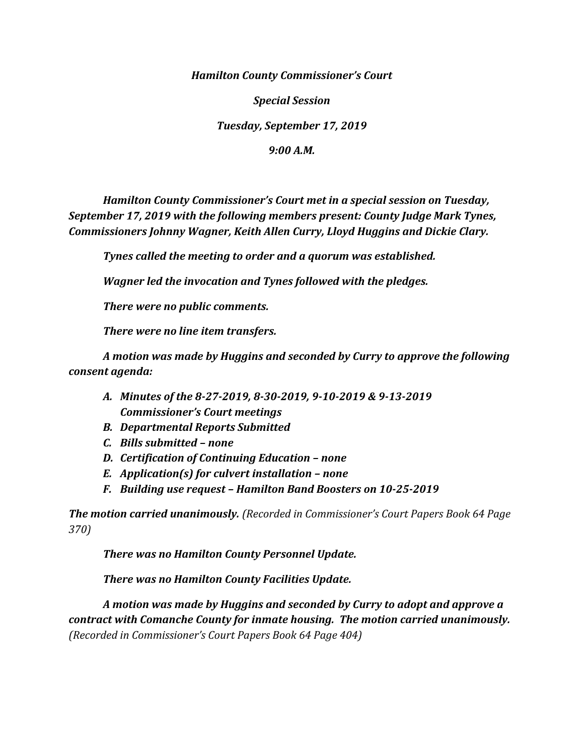*Hamilton County Commissioner's Court*

*Special Session*

*Tuesday, September 17, 2019*

*9:00 A.M.*

*Hamilton County Commissioner's Court met in a special session on Tuesday, September 17, 2019 with the following members present: County Judge Mark Tynes, Commissioners Johnny Wagner, Keith Allen Curry, Lloyd Huggins and Dickie Clary.*

*Tynes called the meeting to order and a quorum was established.*

*Wagner led the invocation and Tynes followed with the pledges.*

*There were no public comments.*

*There were no line item transfers.*

*A motion was made by Huggins and seconded by Curry to approve the following consent agenda:*

- *A. Minutes of the 8-27-2019, 8-30-2019, 9-10-2019 & 9-13-2019 Commissioner's Court meetings*
- *B. Departmental Reports Submitted*
- *C. Bills submitted – none*
- *D. Certification of Continuing Education – none*
- *E. Application(s) for culvert installation – none*
- *F. Building use request – Hamilton Band Boosters on 10-25-2019*

*The motion carried unanimously. (Recorded in Commissioner's Court Papers Book 64 Page 370)*

*There was no Hamilton County Personnel Update.*

*There was no Hamilton County Facilities Update.*

*A motion was made by Huggins and seconded by Curry to adopt and approve a contract with Comanche County for inmate housing. The motion carried unanimously. (Recorded in Commissioner's Court Papers Book 64 Page 404)*